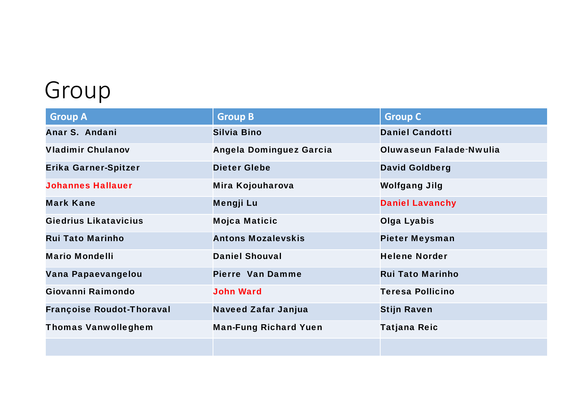# Group

| <b>Group A</b>                   | <b>Group B</b>                 | <b>Group C</b>          |
|----------------------------------|--------------------------------|-------------------------|
| Anar S. Andani                   | <b>Silvia Bino</b>             | <b>Daniel Candotti</b>  |
| <b>Vladimir Chulanov</b>         | <b>Angela Dominguez Garcia</b> | Oluwaseun Falade-Nwulia |
| Erika Garner-Spitzer             | <b>Dieter Glebe</b>            | <b>David Goldberg</b>   |
| <b>Johannes Hallauer</b>         | Mira Kojouharova               | <b>Wolfgang Jilg</b>    |
| <b>Mark Kane</b>                 | Mengji Lu                      | <b>Daniel Lavanchy</b>  |
| <b>Giedrius Likatavicius</b>     | <b>Mojca Maticic</b>           | <b>Olga Lyabis</b>      |
| <b>Rui Tato Marinho</b>          | <b>Antons Mozalevskis</b>      | <b>Pieter Meysman</b>   |
| <b>Mario Mondelli</b>            | <b>Daniel Shouval</b>          | <b>Helene Norder</b>    |
| Vana Papaevangelou               | <b>Pierre Van Damme</b>        | <b>Rui Tato Marinho</b> |
| Giovanni Raimondo                | <b>John Ward</b>               | <b>Teresa Pollicino</b> |
| <b>Françoise Roudot-Thoraval</b> | <b>Naveed Zafar Janjua</b>     | <b>Stijn Raven</b>      |
| <b>Thomas Vanwolleghem</b>       | <b>Man-Fung Richard Yuen</b>   | <b>Tatjana Reic</b>     |
|                                  |                                |                         |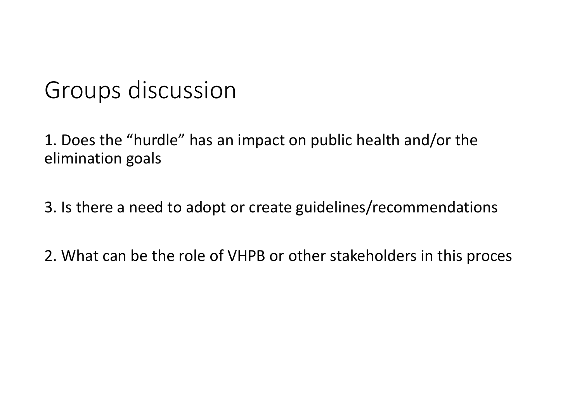## Groups discussion

1. Does the "hurdle" has an impact on public health and/or the elimination goals

3. Is there <sup>a</sup> need to adopt or create guidelines/recommendations

2. What can be the role of VHPB or other stakeholders in this proces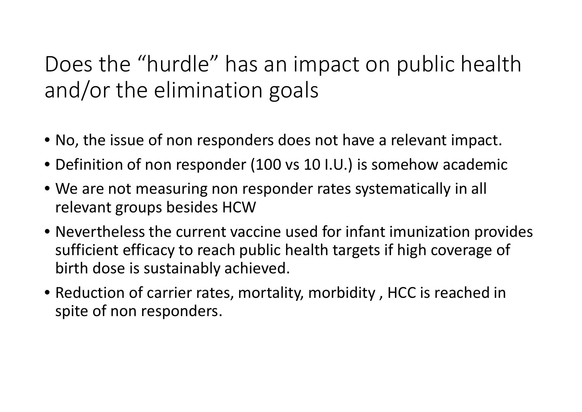## Does the "hurdle" has an impact on public health and/or the elimination goals

- No, the issue of non responders does not have <sup>a</sup> relevant impact.
- Definition of non responder (100 vs 10 I.U.) is somehow academic
- We are not measuring non responder rates systematically in all relevant groups besides HCW
- Nevertheless the current vaccine used for infant imunization provides sufficient efficacy to reach public health targets if high coverage of birth dose is sustainably achieved.
- Reduction of carrier rates, mortality, morbidity , HCC is reached in spite of non responders.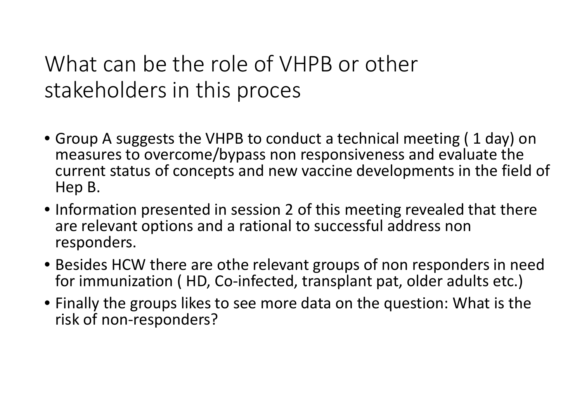## What can be the role of VHPB or other stakeholders in this proces

- Group A suggests the VHPB to conduct a technical meeting ( 1 day) on measures to overcome/bypass non responsiveness and evaluate the current status of concepts and new vaccine developments in the field of Hep B.
- Information presented in session 2 of this meeting revealed that there are relevant options and a rational to successful address non responders.
- Besides HCW there are othe relevant groups of non responders in need for immunization (HD, Co-infected, transplant pat, older adults etc.)
- Finally the groups likes to see more data on the question: What is the risk of non ‐responders?